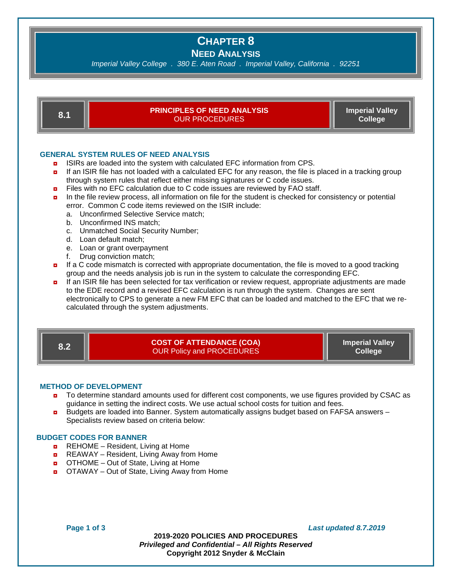# **CHAPTER 8**

**NEED ANALYSIS** 

*Imperial Valley College . 380 E. Aten Road . Imperial Valley, California . 92251*



**8.1 PRINCIPLES OF NEED ANALYSIS**  OUR PROCEDURES

**Imperial Valley College**

# **GENERAL SYSTEM RULES OF NEED ANALYSIS**

- **D** ISIRs are loaded into the system with calculated EFC information from CPS.
- **n** If an ISIR file has not loaded with a calculated EFC for any reason, the file is placed in a tracking group through system rules that reflect either missing signatures or C code issues.
- $\blacksquare$  Files with no EFC calculation due to C code issues are reviewed by FAO staff.
- **n** In the file review process, all information on file for the student is checked for consistency or potential error. Common C code items reviewed on the ISIR include:
	- a. Unconfirmed Selective Service match;
	- b. Unconfirmed INS match;
	- c. Unmatched Social Security Number;
	- d. Loan default match;
	- e. Loan or grant overpayment
	- f. Drug conviction match;
- **n** If a C code mismatch is corrected with appropriate documentation, the file is moved to a good tracking group and the needs analysis job is run in the system to calculate the corresponding EFC.
- ◘ If an ISIR file has been selected for tax verification or review request, appropriate adjustments are made to the EDE record and a revised EFC calculation is run through the system. Changes are sent electronically to CPS to generate a new FM EFC that can be loaded and matched to the EFC that we recalculated through the system adjustments.

**8.2 COST OF ATTENDANCE (COA)** OUR Policy and PROCEDURES

**Imperial Valley College**

## **METHOD OF DEVELOPMENT**

- ◘ To determine standard amounts used for different cost components, we use figures provided by CSAC as guidance in setting the indirect costs. We use actual school costs for tuition and fees.
- Budgets are loaded into Banner. System automatically assigns budget based on FAFSA answers Specialists review based on criteria below:

### **BUDGET CODES FOR BANNER**

- $\blacksquare$  REHOME Resident, Living at Home
- REAWAY Resident, Living Away from Home
- OTHOME Out of State, Living at Home
- OTAWAY Out of State, Living Away from Home

**Page 1 of 3** *Last updated 8.7.2019*

**2019-2020 POLICIES AND PROCEDURES** *Privileged and Confidential – All Rights Reserved* **Copyright 2012 Snyder & McClain**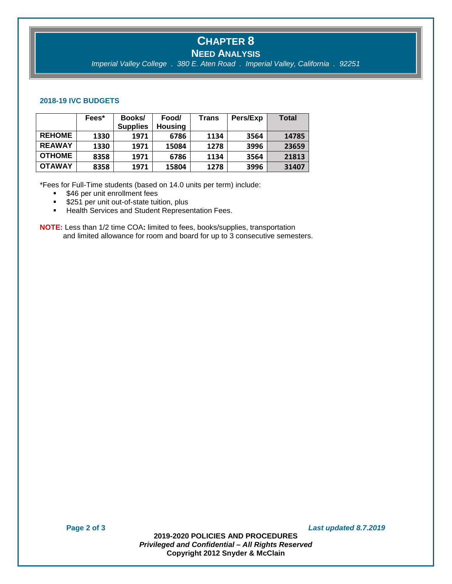# **CHAPTER 8 NEED ANALYSIS**

*Imperial Valley College . 380 E. Aten Road . Imperial Valley, California . 92251*

#### **2018-19 IVC BUDGETS**

|               | Fees* | Books/          | Food/          | Trans | Pers/Exp | Total |
|---------------|-------|-----------------|----------------|-------|----------|-------|
|               |       | <b>Supplies</b> | <b>Housing</b> |       |          |       |
| <b>REHOME</b> | 1330  | 1971            | 6786           | 1134  | 3564     | 14785 |
| <b>REAWAY</b> | 1330  | 1971            | 15084          | 1278  | 3996     | 23659 |
| <b>OTHOME</b> | 8358  | 1971            | 6786           | 1134  | 3564     | 21813 |
| <b>OTAWAY</b> | 8358  | 1971            | 15804          | 1278  | 3996     | 31407 |

\*Fees for Full-Time students (based on 14.0 units per term) include:

- **\$46 per unit enrollment fees**
- **\$251 per unit out-of-state tuition, plus**
- **Health Services and Student Representation Fees.**

**NOTE:** Less than 1/2 time COA**:** limited to fees, books/supplies, transportation and limited allowance for room and board for up to 3 consecutive semesters.

**Page 2 of 3** *Last updated 8.7.2019*

**2019-2020 POLICIES AND PROCEDURES** *Privileged and Confidential – All Rights Reserved* **Copyright 2012 Snyder & McClain**